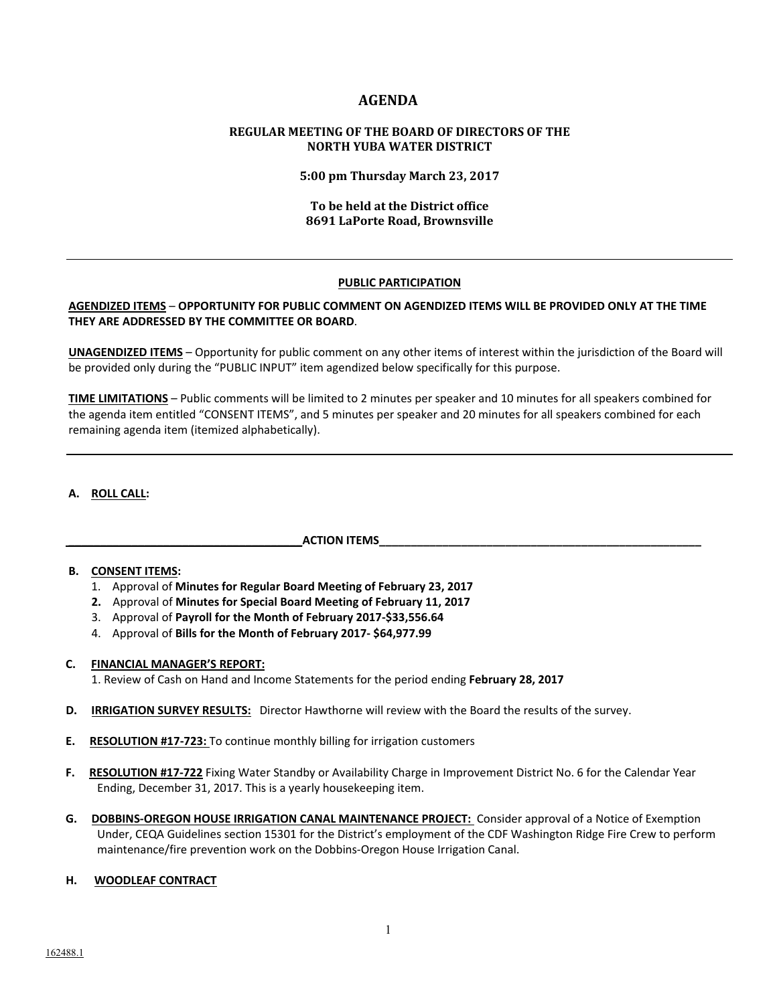# **AGENDA**

## **REGULAR MEETING OF THE BOARD OF DIRECTORS OF THE NORTH YUBA WATER DISTRICT**

**5:00 pm Thursday March 23, 2017**

## **To be held at the District office 8691 LaPorte Road, Brownsville**

## **PUBLIC PARTICIPATION**

#### **AGENDIZED ITEMS** – **OPPORTUNITY FOR PUBLIC COMMENT ON AGENDIZED ITEMS WILL BE PROVIDED ONLY AT THE TIME THEY ARE ADDRESSED BY THE COMMITTEE OR BOARD**.

**UNAGENDIZED ITEMS** – Opportunity for public comment on any other items of interest within the jurisdiction of the Board will be provided only during the "PUBLIC INPUT" item agendized below specifically for this purpose.

**TIME LIMITATIONS** – Public comments will be limited to 2 minutes per speaker and 10 minutes for all speakers combined for the agenda item entitled "CONSENT ITEMS", and 5 minutes per speaker and 20 minutes for all speakers combined for each remaining agenda item (itemized alphabetically).

## **A. ROLL CALL:**

## **\_\_\_\_\_\_\_\_\_\_\_\_\_\_\_\_\_\_\_\_\_\_\_\_\_\_\_\_\_\_\_\_\_\_\_\_\_ACTION ITEMS\_\_\_\_\_\_\_\_\_\_\_\_\_\_\_\_\_\_\_\_\_\_\_\_\_\_\_\_\_\_\_\_\_\_\_\_\_\_\_\_\_\_\_\_\_\_\_\_\_\_\_**

## **B. CONSENT ITEMS:**

- 1. Approval of **Minutes for Regular Board Meeting of February 23, 2017**
- **2.** Approval of **Minutes for Special Board Meeting of February 11, 2017**
- 3. Approval of **Payroll for the Month of February 2017‐\$33,556.64**
- 4. Approval of **Bills for the Month of February 2017‐ \$64,977.99**

#### **C. FINANCIAL MANAGER'S REPORT:**

1. Review of Cash on Hand and Income Statements for the period ending **February 28, 2017** 

- **D. IRRIGATION SURVEY RESULTS:** Director Hawthorne will review with the Board the results of the survey.
- **E.** RESOLUTION #17-723: To continue monthly billing for irrigation customers
- **F. RESOLUTION #17-722** Fixing Water Standby or Availability Charge in Improvement District No. 6 for the Calendar Year Ending, December 31, 2017. This is a yearly housekeeping item.
- **G. DOBBINS‐OREGON HOUSE IRRIGATION CANAL MAINTENANCE PROJECT:**  Consider approval of a Notice of Exemption Under, CEQA Guidelines section 15301 for the District's employment of the CDF Washington Ridge Fire Crew to perform maintenance/fire prevention work on the Dobbins‐Oregon House Irrigation Canal.

#### **H. WOODLEAF CONTRACT**